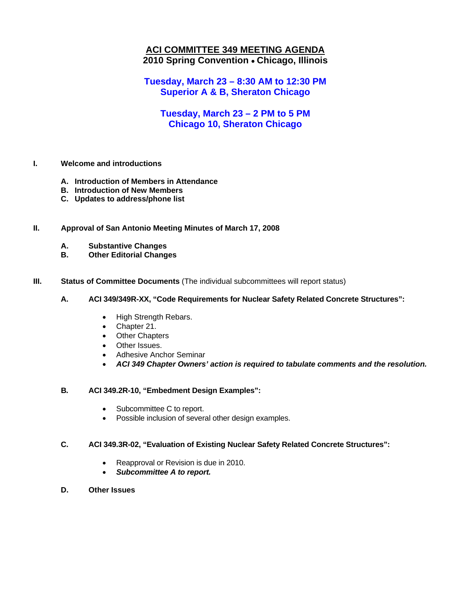### **ACI COMMITTEE 349 MEETING AGENDA 2010 Spring Convention** • **Chicago, Illinois**

**Tuesday, March 23 – 8:30 AM to 12:30 PM Superior A & B, Sheraton Chicago**

### **Tuesday, March 23 – 2 PM to 5 PM Chicago 10, Sheraton Chicago**

#### **I. Welcome and introductions**

- **A. Introduction of Members in Attendance**
- **B. Introduction of New Members**
- **C. Updates to address/phone list**

#### **II. Approval of San Antonio Meeting Minutes of March 17, 2008**

- **A. Substantive Changes**
- **B. Other Editorial Changes**

#### **III.** Status of Committee Documents (The individual subcommittees will report status)

#### **A. ACI 349/349R-XX, "Code Requirements for Nuclear Safety Related Concrete Structures":**

- High Strength Rebars.
- Chapter 21.
- Other Chapters
- Other Issues.
- Adhesive Anchor Seminar
- *ACI 349 Chapter Owners' action is required to tabulate comments and the resolution.*

#### **B***.* **ACI 349.2R-10, "Embedment Design Examples":**

- Subcommittee C to report.
- Possible inclusion of several other design examples.

#### **C. ACI 349.3R-02, "Evaluation of Existing Nuclear Safety Related Concrete Structures":**

- Reapproval or Revision is due in 2010.
- *Subcommittee A to report.*
- **D. Other Issues**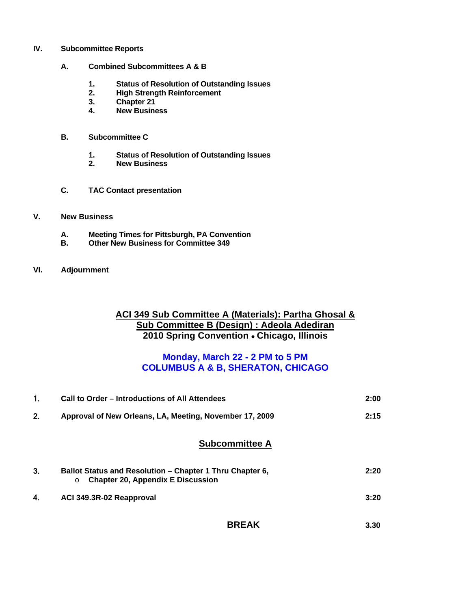- **IV. Subcommittee Reports** 
	- **A. Combined Subcommittees A & B** 
		- **1. Status of Resolution of Outstanding Issues**
		- **2. High Strength Reinforcement**
		- **3. Chapter 21**
		- **4. New Business**
	- **B. Subcommittee C** 
		- **1. Status of Resolution of Outstanding Issues**
		- **2. New Business**
	- **C. TAC Contact presentation**
- **V. New Business**
	- **A. Meeting Times for Pittsburgh, PA Convention**
	- **B. Other New Business for Committee 349**
- **VI. Adjournment**

### **ACI 349 Sub Committee A (Materials): Partha Ghosal & Sub Committee B (Design) : Adeola Adediran 2010 Spring Convention** • **Chicago, Illinois**

### **Monday, March 22 - 2 PM to 5 PM COLUMBUS A & B, SHERATON, CHICAGO**

| 1. | Call to Order – Introductions of All Attendees                                                                  |      |  |
|----|-----------------------------------------------------------------------------------------------------------------|------|--|
| 2. | Approval of New Orleans, LA, Meeting, November 17, 2009                                                         | 2:15 |  |
|    | <b>Subcommittee A</b>                                                                                           |      |  |
| 3. | Ballot Status and Resolution - Chapter 1 Thru Chapter 6,<br><b>Chapter 20, Appendix E Discussion</b><br>$\circ$ | 2:20 |  |
| 4. | ACI 349.3R-02 Reapproval                                                                                        | 3:20 |  |
|    | <b>BREAK</b>                                                                                                    | 3.30 |  |